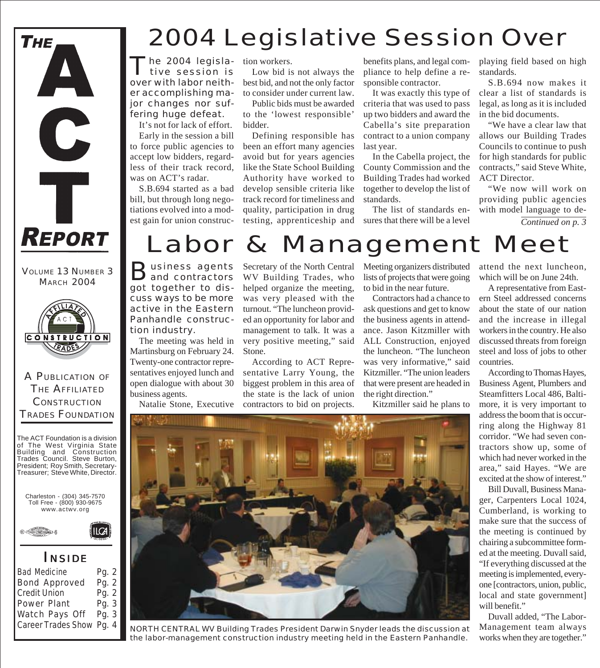

VOLUME 13 NUMBER 3 **MARCH 2004** 



A PUBLICATION OF THE AFFILIATED **CONSTRUCTION** TRADES FOUNDATION

The ACT Foundation is a division of The West Virginia State Building and Construction Trades Council. Steve Burton, President; Roy Smith, Secretary-Treasurer; Steve White, Director.

Charleston - (304) 345-7570 Toll Free - (800) 930-9675 www.actwv.org

 $\mathsf{I} \mathsf{C}$ A



#### *I NSIDE*

| <b>Bad Medicine</b>      | Pg. 2 |
|--------------------------|-------|
| <b>Bond Approved</b>     | Pg. 2 |
| <b>Credit Union</b>      | Pg. 2 |
| Power Plant              | Pg. 3 |
| Watch Pays Off           | Pg. 3 |
| Career Trades Show Pg. 4 |       |
|                          |       |

## 2004 Legislative Session Over

he 2004 legislative session is over with labor neither accomplishing major changes nor suffering huge defeat.

It's not for lack of effort.

Early in the session a bill to force public agencies to accept low bidders, regardless of their track record, was on ACT's radar.

S.B.694 started as a bad bill, but through long negotiations evolved into a modest gain for union construction workers.

Low bid is not always the best bid, and not the only factor to consider under current law.

Public bids must be awarded to the 'lowest responsible' bidder.

Defining responsible has been an effort many agencies avoid but for years agencies like the State School Building Authority have worked to develop sensible criteria like track record for timeliness and quality, participation in drug testing, apprenticeship and

benefits plans, and legal compliance to help define a responsible contractor.

It was exactly this type of criteria that was used to pass up two bidders and award the Cabella's site preparation contract to a union company last year.

In the Cabella project, the County Commission and the Building Trades had worked together to develop the list of standards.

The list of standards ensures that there will be a level playing field based on high standards.

S.B.694 now makes it clear a list of standards is legal, as long as it is included in the bid documents.

"We have a clear law that allows our Building Trades Councils to continue to push for high standards for public contracts," said Steve White, ACT Director.

"We now will work on providing public agencies with model language to de-

*Continued on p. 3*

# Labor & Management Meet

Business agents<br> **Band contractors** got together to discuss ways to be more active in the Eastern Panhandle construction industry.

The meeting was held in Martinsburg on February 24. Twenty-one contractor representatives enjoyed lunch and open dialogue with about 30 business agents.

Natalie Stone, Executive

Secretary of the North Central WV Building Trades, who helped organize the meeting, was very pleased with the turnout. "The luncheon provided an opportunity for labor and management to talk. It was a very positive meeting," said Stone.

According to ACT Representative Larry Young, the biggest problem in this area of the state is the lack of union contractors to bid on projects.

Meeting organizers distributed lists of projects that were going to bid in the near future.

Contractors had a chance to ask questions and get to know the business agents in attendance. Jason Kitzmiller with ALL Construction, enjoyed the luncheon. "The luncheon was very informative," said Kitzmiller. "The union leaders that were present are headed in the right direction."

Kitzmiller said he plans to

attend the next luncheon, which will be on June 24th.

A representative from Eastern Steel addressed concerns about the state of our nation and the increase in illegal workers in the country. He also discussed threats from foreign steel and loss of jobs to other countries.

According to Thomas Hayes, Business Agent, Plumbers and Steamfitters Local 486, Baltimore, it is very important to address the boom that is occurring along the Highway 81 corridor. "We had seven contractors show up, some of which had never worked in the area," said Hayes. "We are excited at the show of interest."

Bill Duvall, Business Manager, Carpenters Local 1024, Cumberland, is working to make sure that the success of the meeting is continued by chairing a subcommittee formed at the meeting. Duvall said, "If everything discussed at the meeting is implemented, everyone [contractors, union, public, local and state government] will benefit."

Duvall added, "The Labor-Management team always works when they are together."



NORTH CENTRAL WV Building Trades President Darwin Snyder leads the discussion at the labor-management construction industry meeting held in the Eastern Panhandle.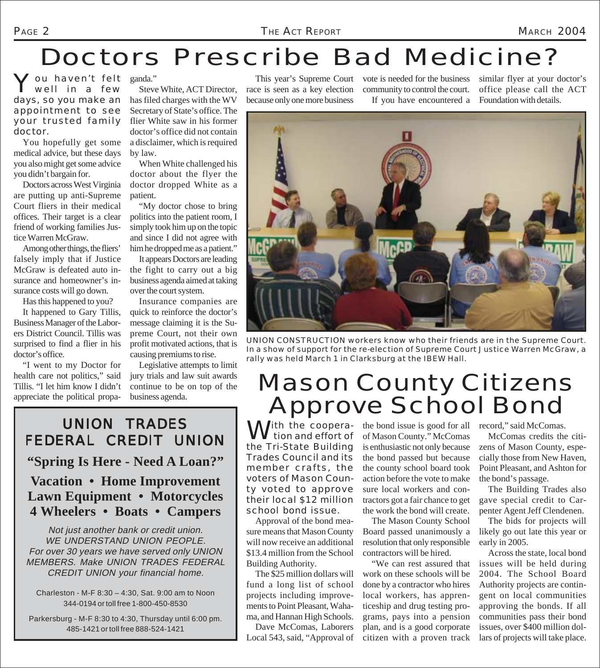## Doctors Prescribe Bad Medicine?

You haven't felt ganda."<br>
Well in a few Steven well in a few days, so you make an appointment to see your trusted family doctor.

You hopefully get some medical advice, but these days you also might get some advice you didn't bargain for.

Doctors across West Virginia are putting up anti-Supreme Court fliers in their medical offices. Their target is a clear friend of working families Justice Warren McGraw.

Among other things, the fliers' falsely imply that if Justice McGraw is defeated auto insurance and homeowner's insurance costs will go down.

Has this happened to you? It happened to Gary Tillis, Business Manager of the Labor-

ers District Council. Tillis was surprised to find a flier in his doctor's office.

"I went to my Doctor for health care not politics," said Tillis. "I let him know I didn't appreciate the political propa-

Steve White, ACT Director, has filed charges with the WV Secretary of State's office. The flier White saw in his former doctor's office did not contain a disclaimer, which is required by law.

When White challenged his doctor about the flyer the doctor dropped White as a patient.

"My doctor chose to bring politics into the patient room, I simply took him up on the topic and since I did not agree with him he dropped me as a patient."

It appears Doctors are leading the fight to carry out a big business agenda aimed at taking over the court system.

Insurance companies are quick to reinforce the doctor's message claiming it is the Supreme Court, not their own profit motivated actions, that is causing premiums to rise.

Legislative attempts to limit jury trials and law suit awards continue to be on top of the business agenda.

race is seen as a key election because only one more business

This year's Supreme Court vote is needed for the business similar flyer at your doctor's community to control the court. If you have encountered a

office please call the ACT Foundation with details.



UNION CONSTRUCTION workers know who their friends are in the Supreme Court. In a show of support for the re-election of Supreme Court Justice Warren McGraw, a rally was held March 1 in Clarksburg at the IBEW Hall.

#### Mason County Citizens Approve School Bond

 $\bigwedge$  *i*th the cooperation and effort of the Tri-State Building Trades Council and its member crafts, the voters of Mason County voted to approve their local \$12 million school bond issue.

Approval of the bond measure means that Mason County will now receive an additional \$13.4 million from the School Building Authority.

The \$25 million dollars will fund a long list of school projects including improvements to Point Pleasant, Wahama, and Hannan High Schools.

Dave McComas, Laborers Local 543, said, "Approval of

the bond issue is good for all record," said McComas. of Mason County." McComas is enthusiastic not only because the bond passed but because the county school board took action before the vote to make sure local workers and contractors got a fair chance to get the work the bond will create.

The Mason County School Board passed unanimously a resolution that only responsible contractors will be hired.

"We can rest assured that work on these schools will be done by a contractor who hires local workers, has apprenticeship and drug testing programs, pays into a pension plan, and is a good corporate citizen with a proven track

McComas credits the citizens of Mason County, especially those from New Haven, Point Pleasant, and Ashton for the bond's passage.

The Building Trades also gave special credit to Carpenter Agent Jeff Clendenen.

The bids for projects will likely go out late this year or early in 2005.

Across the state, local bond issues will be held during 2004. The School Board Authority projects are contingent on local communities approving the bonds. If all communities pass their bond issues, over \$400 million dollars of projects will take place.

#### FEDERAL CREDIT UNION **"Spring Is Here - Need A Loan?" Vacation • Home Improvement Lawn Equipment • Motorcycles 4 Wheelers • Boats • Campers**

UNION TRADES

Not just another bank or credit union. WE UNDERSTAND UNION PEOPLE. For over 30 years we have served only UNION MEMBERS. Make UNION TRADES FEDERAL CREDIT UNION your financial home.

Charleston - M-F 8:30 – 4:30, Sat. 9:00 am to Noon 344-0194 or toll free 1-800-450-8530

Parkersburg - M-F 8:30 to 4:30, Thursday until 6:00 pm. 485-1421 or toll free 888-524-1421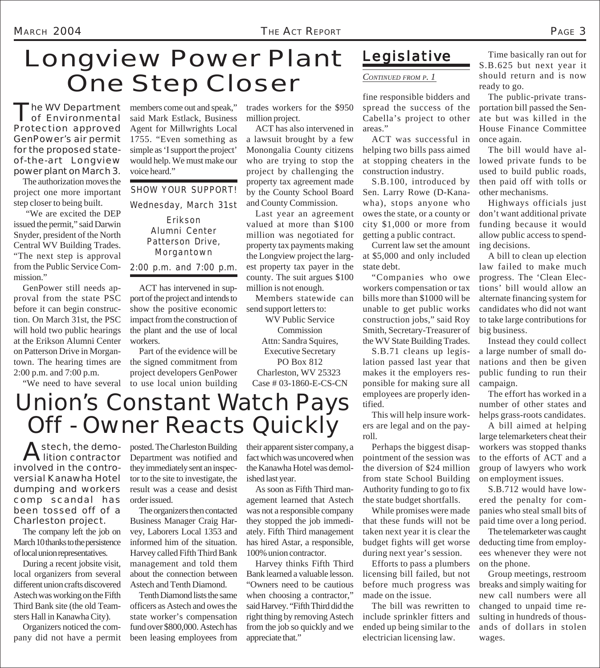## Longview Power Plant One Step Closer *CONTINUED FROM P. 1*

The WV Department<br>
of Environmental Protection approved GenPower's air permit for the proposed stateof-the-art Longview power plant on March 3. The authorization moves the

project one more important step closer to being built.

 "We are excited the DEP issued the permit," said Darwin Snyder, president of the North Central WV Building Trades. "The next step is approval from the Public Service Commission."

GenPower still needs approval from the state PSC before it can begin construction. On March 31st, the PSC will hold two public hearings at the Erikson Alumni Center on Patterson Drive in Morgantown. The hearing times are 2:00 p.m. and 7:00 p.m.

"We need to have several

members come out and speak," said Mark Estlack, Business Agent for Millwrights Local 1755. "Even something as simple as 'I support the project' would help. We must make our voice heard."

SHOW YOUR SUPPORT!

Wednesday, March 31st

Erikson Alumni Center Patterson Drive, Morgantown

2:00 p.m. and 7:00 p.m.

ACT has intervened in support of the project and intends to show the positive economic impact from the construction of the plant and the use of local workers.

Part of the evidence will be the signed commitment from project developers GenPower to use local union building trades workers for the \$950 million project.

ACT has also intervened in a lawsuit brought by a few Monongalia County citizens who are trying to stop the project by challenging the property tax agreement made by the County School Board and County Commission.

Last year an agreement valued at more than \$100 million was negotiated for property tax payments making the Longview project the largest property tax payer in the county. The suit argues \$100 million is not enough.

Members statewide can send support letters to:

WV Public Service

Commission Attn: Sandra Squires, Executive Secretary PO Box 812 Charleston, WV 25323 Case # 03-1860-E-CS-CN

#### *Legislative*

fine responsible bidders and spread the success of the Cabella's project to other areas."

ACT was successful in helping two bills pass aimed at stopping cheaters in the construction industry.

S.B.100, introduced by Sen. Larry Rowe (D-Kanawha), stops anyone who owes the state, or a county or city \$1,000 or more from getting a public contract.

Current law set the amount at \$5,000 and only included state debt.

"Companies who owe workers compensation or tax bills more than \$1000 will be unable to get public works construction jobs," said Roy Smith, Secretary-Treasurer of the WV State Building Trades.

S.B.71 cleans up legislation passed last year that makes it the employers responsible for making sure all employees are properly identified.

This will help insure workers are legal and on the payroll.

Perhaps the biggest disappointment of the session was the diversion of \$24 million from state School Building Authority funding to go to fix the state budget shortfalls.

While promises were made that these funds will not be taken next year it is clear the budget fights will get worse during next year's session.

Efforts to pass a plumbers licensing bill failed, but not before much progress was made on the issue.

The bill was rewritten to include sprinkler fitters and ended up being similar to the electrician licensing law.

Time basically ran out for S.B.625 but next year it should return and is now ready to go.

The public-private transportation bill passed the Senate but was killed in the House Finance Committee once again.

The bill would have allowed private funds to be used to build public roads, then paid off with tolls or other mechanisms.

Highways officials just don't want additional private funding because it would allow public access to spending decisions.

A bill to clean up election law failed to make much progress. The 'Clean Elections' bill would allow an alternate financing system for candidates who did not want to take large contributions for big business.

Instead they could collect a large number of small donations and then be given public funding to run their campaign.

The effort has worked in a number of other states and helps grass-roots candidates.

A bill aimed at helping large telemarketers cheat their workers was stopped thanks to the efforts of ACT and a group of lawyers who work on employment issues.

S.B.712 would have lowered the penalty for companies who steal small bits of paid time over a long period.

The telemarketer was caught deducting time from employees whenever they were not on the phone.

Group meetings, restroom breaks and simply waiting for new call numbers were all changed to unpaid time resulting in hundreds of thousands of dollars in stolen wages.

#### Union's Constant Watch Pays Off - Owner Reacts Quickly

Astech, the demo-<br>lition contractor involved in the controversial Kanawha Hotel dumping and workers comp scandal has been tossed off of a Charleston project.

The company left the job on March 10 thanks to the persistence of local union representatives.

During a recent jobsite visit, local organizers from several different union crafts discovered Astech was working on the Fifth Third Bank site (the old Teamsters Hall in Kanawha City).

Organizers noticed the company did not have a permit posted. The Charleston Building Department was notified and they immediately sent an inspector to the site to investigate, the result was a cease and desist order issued.

The organizers then contacted Business Manager Craig Harvey, Laborers Local 1353 and informed him of the situation. Harvey called Fifth Third Bank management and told them about the connection between Astech and Tenth Diamond.

Tenth Diamond lists the same officers as Astech and owes the state worker's compensation fund over \$800,000. Astech has been leasing employees from their apparent sister company, a fact which was uncovered when the Kanawha Hotel was demolished last year.

As soon as Fifth Third management learned that Astech was not a responsible company they stopped the job immediately. Fifth Third management has hired Astar, a responsible, 100% union contractor.

Harvey thinks Fifth Third Bank learned a valuable lesson. "Owners need to be cautious when choosing a contractor," said Harvey. "Fifth Third did the right thing by removing Astech from the job so quickly and we appreciate that."